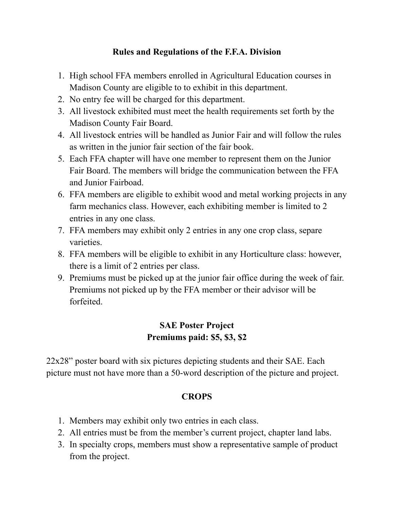### **Rules and Regulations of the F.F.A. Division**

- 1. High school FFA members enrolled in Agricultural Education courses in Madison County are eligible to to exhibit in this department.
- 2. No entry fee will be charged for this department.
- 3. All livestock exhibited must meet the health requirements set forth by the Madison County Fair Board.
- 4. All livestock entries will be handled as Junior Fair and will follow the rules as written in the junior fair section of the fair book.
- 5. Each FFA chapter will have one member to represent them on the Junior Fair Board. The members will bridge the communication between the FFA and Junior Fairboad.
- 6. FFA members are eligible to exhibit wood and metal working projects in any farm mechanics class. However, each exhibiting member is limited to 2 entries in any one class.
- 7. FFA members may exhibit only 2 entries in any one crop class, separe varieties.
- 8. FFA members will be eligible to exhibit in any Horticulture class: however, there is a limit of 2 entries per class.
- 9. Premiums must be picked up at the junior fair office during the week of fair. Premiums not picked up by the FFA member or their advisor will be forfeited.

## **SAE Poster Project Premiums paid: \$5, \$3, \$2**

22x28" poster board with six pictures depicting students and their SAE. Each picture must not have more than a 50-word description of the picture and project.

## **CROPS**

- 1. Members may exhibit only two entries in each class.
- 2. All entries must be from the member's current project, chapter land labs.
- 3. In specialty crops, members must show a representative sample of product from the project.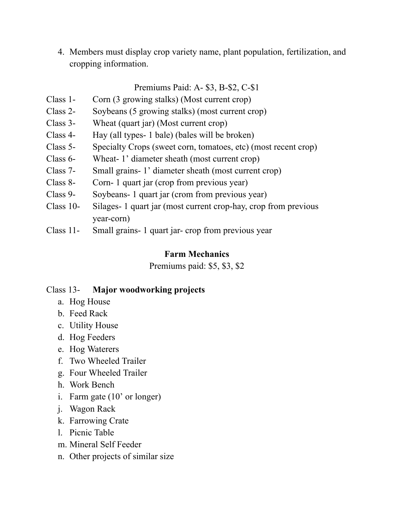4. Members must display crop variety name, plant population, fertilization, and cropping information.

#### Premiums Paid: A- \$3, B-\$2, C-\$1

- Class 1- Corn (3 growing stalks) (Most current crop)
- Class 2- Soybeans (5 growing stalks) (most current crop)
- Class 3- Wheat (quart jar) (Most current crop)
- Class 4- Hay (all types- 1 bale) (bales will be broken)
- Class 5- Specialty Crops (sweet corn, tomatoes, etc) (most recent crop)
- Class 6- Wheat- 1' diameter sheath (most current crop)
- Class 7- Small grains- 1' diameter sheath (most current crop)
- Class 8- Corn- 1 quart jar (crop from previous year)
- Class 9- Soybeans- 1 quart jar (crom from previous year)
- Class 10- Silages- 1 quart jar (most current crop-hay, crop from previous year-corn)
- Class 11- Small grains- 1 quart jar- crop from previous year

#### **Farm Mechanics**

Premiums paid: \$5, \$3, \$2

## Class 13- **Major woodworking projects**

- a. Hog House
- b. Feed Rack
- c. Utility House
- d. Hog Feeders
- e. Hog Waterers
- f. Two Wheeled Trailer
- g. Four Wheeled Trailer
- h. Work Bench
- i. Farm gate (10' or longer)
- j. Wagon Rack
- k. Farrowing Crate
- l. Picnic Table
- m. Mineral Self Feeder
- n. Other projects of similar size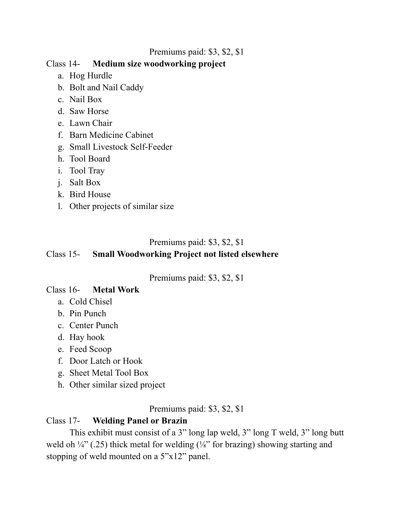### Premiums paid: \$3, \$2, \$1

## Class 14- **Medium size woodworking project**

- a. Hog Hurdle
- b. Bolt and Nail Caddy
- c. Nail Box
- d. Saw Horse
- e. Lawn Chair
- f. Barn Medicine Cabinet
- g. Small Livestock Self-Feeder
- h. Tool Board
- i. Tool Tray
- j. Salt Box
- k. Bird House
- l. Other projects of similar size

## Premiums paid: \$3, \$2, \$1

# Class 15- **Small Woodworking Project not listed elsewhere**

Premiums paid: \$3, \$2, \$1

# Class 16- **Metal Work**

- a. Cold Chisel
- b. Pin Punch
- c. Center Punch
- d. Hay hook
- e. Feed Scoop
- f. Door Latch or Hook
- g. Sheet Metal Tool Box
- h. Other similar sized project

Premiums paid: \$3, \$2, \$1

## Class 17- **Welding Panel or Brazin**

This exhibit must consist of a 3" long lap weld, 3" long T weld, 3" long butt weld oh  $\frac{1}{4}$ " (.25) thick metal for welding ( $\frac{1}{8}$ " for brazing) showing starting and stopping of weld mounted on a 5"x12" panel.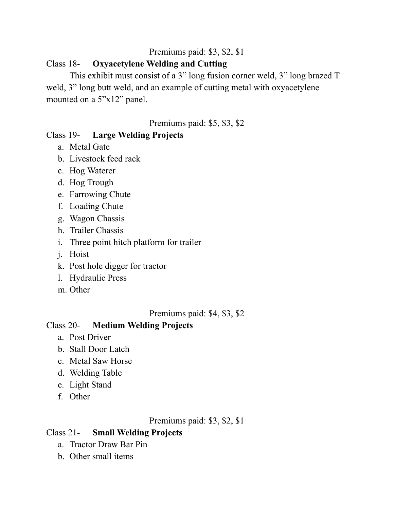## Premiums paid: \$3, \$2, \$1

## Class 18- **Oxyacetylene Welding and Cutting**

This exhibit must consist of a 3" long fusion corner weld, 3" long brazed T weld, 3" long butt weld, and an example of cutting metal with oxyacetylene mounted on a 5"x12" panel.

Premiums paid: \$5, \$3, \$2

## Class 19- **Large Welding Projects**

- a. Metal Gate
- b. Livestock feed rack
- c. Hog Waterer
- d. Hog Trough
- e. Farrowing Chute
- f. Loading Chute
- g. Wagon Chassis
- h. Trailer Chassis
- i. Three point hitch platform for trailer
- j. Hoist
- k. Post hole digger for tractor
- l. Hydraulic Press
- m. Other

Premiums paid: \$4, \$3, \$2

#### Class 20- **Medium Welding Projects**

- a. Post Driver
- b. Stall Door Latch
- c. Metal Saw Horse
- d. Welding Table
- e. Light Stand
- f. Other

Premiums paid: \$3, \$2, \$1

## Class 21- **Small Welding Projects**

- a. Tractor Draw Bar Pin
- b. Other small items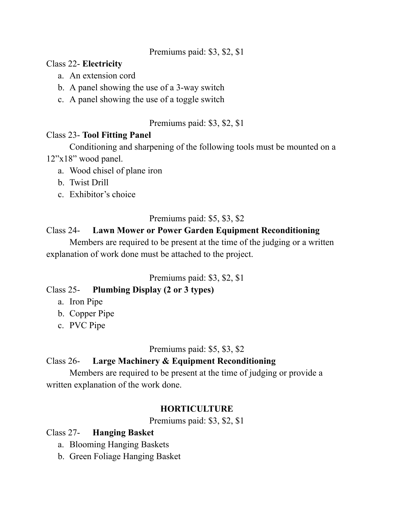#### Premiums paid: \$3, \$2, \$1

#### Class 22- **Electricity**

- a. An extension cord
- b. A panel showing the use of a 3-way switch
- c. A panel showing the use of a toggle switch

### Premiums paid: \$3, \$2, \$1

### Class 23- **Tool Fitting Panel**

Conditioning and sharpening of the following tools must be mounted on a 12"x18" wood panel.

- a. Wood chisel of plane iron
- b. Twist Drill
- c. Exhibitor's choice

## Premiums paid: \$5, \$3, \$2

## Class 24- **Lawn Mower or Power Garden Equipment Reconditioning**

Members are required to be present at the time of the judging or a written explanation of work done must be attached to the project.

## Premiums paid: \$3, \$2, \$1

## Class 25- **Plumbing Display (2 or 3 types)**

- a. Iron Pipe
- b. Copper Pipe
- c. PVC Pipe

## Premiums paid: \$5, \$3, \$2

## Class 26- **Large Machinery & Equipment Reconditioning**

Members are required to be present at the time of judging or provide a written explanation of the work done.

## **HORTICULTURE**

Premiums paid: \$3, \$2, \$1

## Class 27- **Hanging Basket**

- a. Blooming Hanging Baskets
- b. Green Foliage Hanging Basket